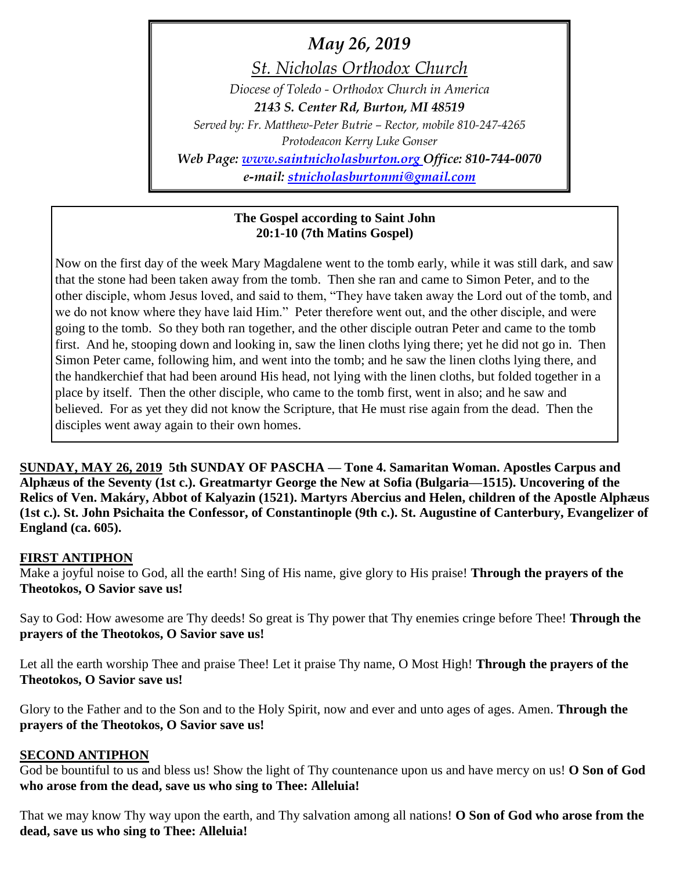*May 26, 2019 St. Nicholas Orthodox Church Diocese of Toledo - Orthodox Church in America 2143 S. Center Rd, Burton, MI 48519 Served by: Fr. Matthew-Peter Butrie – Rector, mobile 810-247-4265 Protodeacon Kerry Luke Gonser Web Page: [www.saintnicholasburton.org](http://www.saintnicholasburton.org/) Office: 810-744-0070*

*e-mail: [stnicholasburtonmi@gmail.com](mailto:stnicholasburtonmi@gmail.com)*

# **The Gospel according to Saint John 20:1-10 (7th Matins Gospel)**

Now on the first day of the week Mary Magdalene went to the tomb early, while it was still dark, and saw that the stone had been taken away from the tomb. Then she ran and came to Simon Peter, and to the other disciple, whom Jesus loved, and said to them, "They have taken away the Lord out of the tomb, and we do not know where they have laid Him." Peter therefore went out, and the other disciple, and were going to the tomb. So they both ran together, and the other disciple outran Peter and came to the tomb first. And he, stooping down and looking in, saw the linen cloths lying there; yet he did not go in. Then Simon Peter came, following him, and went into the tomb; and he saw the linen cloths lying there, and the handkerchief that had been around His head, not lying with the linen cloths, but folded together in a place by itself. Then the other disciple, who came to the tomb first, went in also; and he saw and believed. For as yet they did not know the Scripture, that He must rise again from the dead. Then the disciples went away again to their own homes.

**SUNDAY, MAY 26, 2019 5th SUNDAY OF PASCHA — Tone 4. Samaritan Woman. Apostles Carpus and Alphæus of the Seventy (1st c.). Greatmartyr George the New at Sofia (Bulgaria—1515). Uncovering of the Relics of Ven. Makáry, Abbot of Kalyazin (1521). Martyrs Abercius and Helen, children of the Apostle Alphæus (1st c.). St. John Psichaita the Confessor, of Constantinople (9th c.). St. Augustine of Canterbury, Evangelizer of England (ca. 605).** 

### **FIRST ANTIPHON**

Make a joyful noise to God, all the earth! Sing of His name, give glory to His praise! **Through the prayers of the Theotokos, O Savior save us!**

Say to God: How awesome are Thy deeds! So great is Thy power that Thy enemies cringe before Thee! **Through the prayers of the Theotokos, O Savior save us!**

Let all the earth worship Thee and praise Thee! Let it praise Thy name, O Most High! **Through the prayers of the Theotokos, O Savior save us!**

Glory to the Father and to the Son and to the Holy Spirit, now and ever and unto ages of ages. Amen. **Through the prayers of the Theotokos, O Savior save us!**

### **SECOND ANTIPHON**

God be bountiful to us and bless us! Show the light of Thy countenance upon us and have mercy on us! **O Son of God who arose from the dead, save us who sing to Thee: Alleluia!**

That we may know Thy way upon the earth, and Thy salvation among all nations! **O Son of God who arose from the dead, save us who sing to Thee: Alleluia!**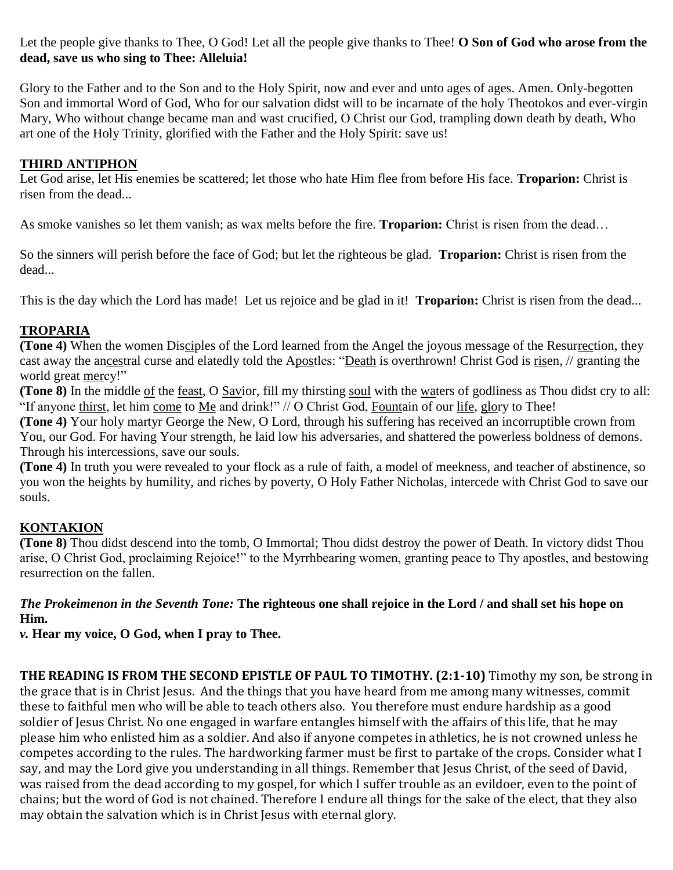Let the people give thanks to Thee, O God! Let all the people give thanks to Thee! **O Son of God who arose from the dead, save us who sing to Thee: Alleluia!**

Glory to the Father and to the Son and to the Holy Spirit, now and ever and unto ages of ages. Amen. Only-begotten Son and immortal Word of God, Who for our salvation didst will to be incarnate of the holy Theotokos and ever-virgin Mary, Who without change became man and wast crucified, O Christ our God, trampling down death by death, Who art one of the Holy Trinity, glorified with the Father and the Holy Spirit: save us!

# **THIRD ANTIPHON**

Let God arise, let His enemies be scattered; let those who hate Him flee from before His face. **Troparion:** Christ is risen from the dead...

As smoke vanishes so let them vanish; as wax melts before the fire. **Troparion:** Christ is risen from the dead…

So the sinners will perish before the face of God; but let the righteous be glad. **Troparion:** Christ is risen from the dead...

This is the day which the Lord has made! Let us rejoice and be glad in it! **Troparion:** Christ is risen from the dead...

# **TROPARIA**

**(Tone 4)** When the women Disciples of the Lord learned from the Angel the joyous message of the Resurrection, they cast away the ancestral curse and elatedly told the Apostles: "Death is overthrown! Christ God is risen, // granting the world great mercy!"

**(Tone 8)** In the middle of the feast, O Savior, fill my thirsting soul with the waters of godliness as Thou didst cry to all: "If anyone thirst, let him come to Me and drink!" // O Christ God, Fountain of our life, glory to Thee!

**(Tone 4)** Your holy martyr George the New, O Lord, through his suffering has received an incorruptible crown from You, our God. For having Your strength, he laid low his adversaries, and shattered the powerless boldness of demons. Through his intercessions, save our souls.

**(Tone 4)** In truth you were revealed to your flock as a rule of faith, a model of meekness, and teacher of abstinence, so you won the heights by humility, and riches by poverty, O Holy Father Nicholas, intercede with Christ God to save our souls.

# **KONTAKION**

**(Tone 8)** Thou didst descend into the tomb, O Immortal; Thou didst destroy the power of Death. In victory didst Thou arise, O Christ God, proclaiming Rejoice!" to the Myrrhbearing women, granting peace to Thy apostles, and bestowing resurrection on the fallen.

# *The Prokeimenon in the Seventh Tone:* **The righteous one shall rejoice in the Lord / and shall set his hope on Him.**

*v.* **Hear my voice, O God, when I pray to Thee.**

**THE READING IS FROM THE SECOND EPISTLE OF PAUL TO TIMOTHY. (2:1-10)** Timothy my son, be strong in the grace that is in Christ Jesus. And the things that you have heard from me among many witnesses, commit these to faithful men who will be able to teach others also. You therefore must endure hardship as a good soldier of Jesus Christ. No one engaged in warfare entangles himself with the affairs of this life, that he may please him who enlisted him as a soldier. And also if anyone competes in athletics, he is not crowned unless he competes according to the rules. The hardworking farmer must be first to partake of the crops. Consider what I say, and may the Lord give you understanding in all things. Remember that Jesus Christ, of the seed of David, was raised from the dead according to my gospel, for which I suffer trouble as an evildoer, even to the point of chains; but the word of God is not chained. Therefore I endure all things for the sake of the elect, that they also may obtain the salvation which is in Christ Jesus with eternal glory.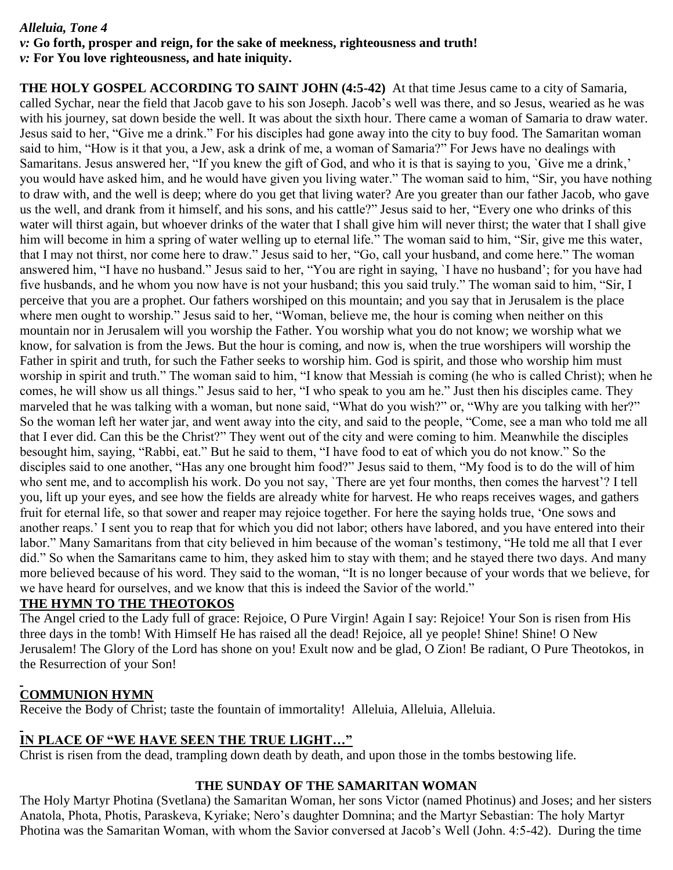# *Alleluia, Tone 4*

### *v:* **Go forth, prosper and reign, for the sake of meekness, righteousness and truth!** *v:* **For You love righteousness, and hate iniquity.**

**THE HOLY GOSPEL ACCORDING TO SAINT JOHN (4:5-42)** At that time Jesus came to a city of Samaria, called Sychar, near the field that Jacob gave to his son Joseph. Jacob's well was there, and so Jesus, wearied as he was with his journey, sat down beside the well. It was about the sixth hour. There came a woman of Samaria to draw water. Jesus said to her, "Give me a drink." For his disciples had gone away into the city to buy food. The Samaritan woman said to him, "How is it that you, a Jew, ask a drink of me, a woman of Samaria?" For Jews have no dealings with Samaritans. Jesus answered her, "If you knew the gift of God, and who it is that is saying to you, `Give me a drink,' you would have asked him, and he would have given you living water." The woman said to him, "Sir, you have nothing to draw with, and the well is deep; where do you get that living water? Are you greater than our father Jacob, who gave us the well, and drank from it himself, and his sons, and his cattle?" Jesus said to her, "Every one who drinks of this water will thirst again, but whoever drinks of the water that I shall give him will never thirst; the water that I shall give him will become in him a spring of water welling up to eternal life." The woman said to him, "Sir, give me this water, that I may not thirst, nor come here to draw." Jesus said to her, "Go, call your husband, and come here." The woman answered him, "I have no husband." Jesus said to her, "You are right in saying, `I have no husband'; for you have had five husbands, and he whom you now have is not your husband; this you said truly." The woman said to him, "Sir, I perceive that you are a prophet. Our fathers worshiped on this mountain; and you say that in Jerusalem is the place where men ought to worship." Jesus said to her, "Woman, believe me, the hour is coming when neither on this mountain nor in Jerusalem will you worship the Father. You worship what you do not know; we worship what we know, for salvation is from the Jews. But the hour is coming, and now is, when the true worshipers will worship the Father in spirit and truth, for such the Father seeks to worship him. God is spirit, and those who worship him must worship in spirit and truth." The woman said to him, "I know that Messiah is coming (he who is called Christ); when he comes, he will show us all things." Jesus said to her, "I who speak to you am he." Just then his disciples came. They marveled that he was talking with a woman, but none said, "What do you wish?" or, "Why are you talking with her?" So the woman left her water jar, and went away into the city, and said to the people, "Come, see a man who told me all that I ever did. Can this be the Christ?" They went out of the city and were coming to him. Meanwhile the disciples besought him, saying, "Rabbi, eat." But he said to them, "I have food to eat of which you do not know." So the disciples said to one another, "Has any one brought him food?" Jesus said to them, "My food is to do the will of him who sent me, and to accomplish his work. Do you not say, `There are yet four months, then comes the harvest'? I tell you, lift up your eyes, and see how the fields are already white for harvest. He who reaps receives wages, and gathers fruit for eternal life, so that sower and reaper may rejoice together. For here the saying holds true, 'One sows and another reaps.' I sent you to reap that for which you did not labor; others have labored, and you have entered into their labor." Many Samaritans from that city believed in him because of the woman's testimony, "He told me all that I ever did." So when the Samaritans came to him, they asked him to stay with them; and he stayed there two days. And many more believed because of his word. They said to the woman, "It is no longer because of your words that we believe, for we have heard for ourselves, and we know that this is indeed the Savior of the world."

# **THE HYMN TO THE THEOTOKOS**

The Angel cried to the Lady full of grace: Rejoice, O Pure Virgin! Again I say: Rejoice! Your Son is risen from His three days in the tomb! With Himself He has raised all the dead! Rejoice, all ye people! Shine! Shine! O New Jerusalem! The Glory of the Lord has shone on you! Exult now and be glad, O Zion! Be radiant, O Pure Theotokos, in the Resurrection of your Son!

# **COMMUNION HYMN**

Receive the Body of Christ; taste the fountain of immortality! Alleluia, Alleluia, Alleluia.

# **IN PLACE OF "WE HAVE SEEN THE TRUE LIGHT…"**

Christ is risen from the dead, trampling down death by death, and upon those in the tombs bestowing life.

# **THE SUNDAY OF THE SAMARITAN WOMAN**

The Holy Martyr Photina (Svetlana) the Samaritan Woman, her sons Victor (named Photinus) and Joses; and her sisters Anatola, Phota, Photis, Paraskeva, Kyriake; Nero's daughter Domnina; and the Martyr Sebastian: The holy Martyr Photina was the Samaritan Woman, with whom the Savior conversed at Jacob's Well (John. 4:5-42). During the time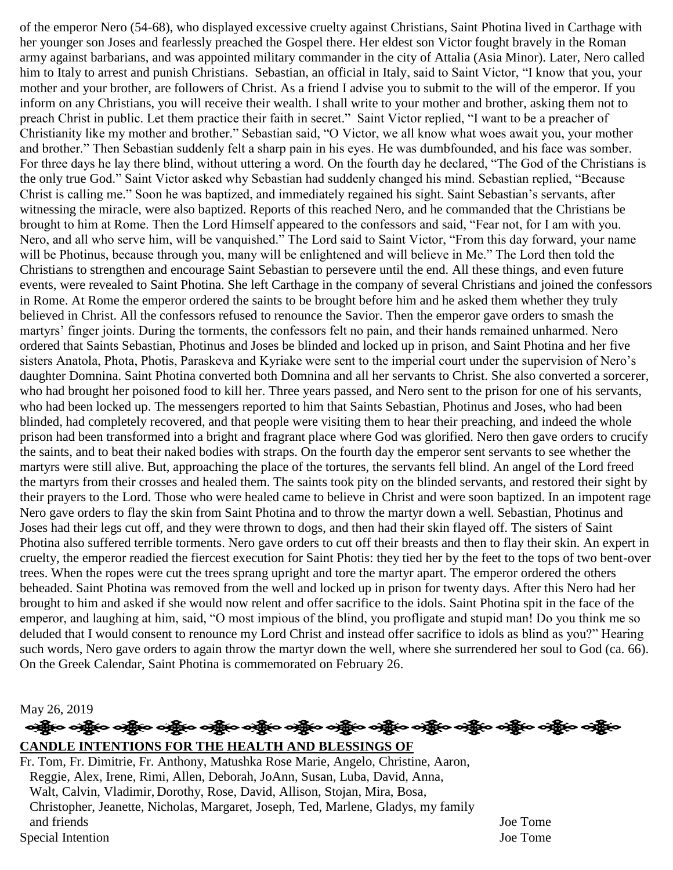of the emperor Nero (54-68), who displayed excessive cruelty against Christians, Saint Photina lived in Carthage with her younger son Joses and fearlessly preached the Gospel there. Her eldest son Victor fought bravely in the Roman army against barbarians, and was appointed military commander in the city of Attalia (Asia Minor). Later, Nero called him to Italy to arrest and punish Christians. Sebastian, an official in Italy, said to Saint Victor, "I know that you, your mother and your brother, are followers of Christ. As a friend I advise you to submit to the will of the emperor. If you inform on any Christians, you will receive their wealth. I shall write to your mother and brother, asking them not to preach Christ in public. Let them practice their faith in secret." Saint Victor replied, "I want to be a preacher of Christianity like my mother and brother." Sebastian said, "O Victor, we all know what woes await you, your mother and brother." Then Sebastian suddenly felt a sharp pain in his eyes. He was dumbfounded, and his face was somber. For three days he lay there blind, without uttering a word. On the fourth day he declared, "The God of the Christians is the only true God." Saint Victor asked why Sebastian had suddenly changed his mind. Sebastian replied, "Because Christ is calling me." Soon he was baptized, and immediately regained his sight. Saint Sebastian's servants, after witnessing the miracle, were also baptized. Reports of this reached Nero, and he commanded that the Christians be brought to him at Rome. Then the Lord Himself appeared to the confessors and said, "Fear not, for I am with you. Nero, and all who serve him, will be vanquished." The Lord said to Saint Victor, "From this day forward, your name will be Photinus, because through you, many will be enlightened and will believe in Me." The Lord then told the Christians to strengthen and encourage Saint Sebastian to persevere until the end. All these things, and even future events, were revealed to Saint Photina. She left Carthage in the company of several Christians and joined the confessors in Rome. At Rome the emperor ordered the saints to be brought before him and he asked them whether they truly believed in Christ. All the confessors refused to renounce the Savior. Then the emperor gave orders to smash the martyrs' finger joints. During the torments, the confessors felt no pain, and their hands remained unharmed. Nero ordered that Saints Sebastian, Photinus and Joses be blinded and locked up in prison, and Saint Photina and her five sisters Anatola, Phota, Photis, Paraskeva and Kyriake were sent to the imperial court under the supervision of Nero's daughter Domnina. Saint Photina converted both Domnina and all her servants to Christ. She also converted a sorcerer, who had brought her poisoned food to kill her. Three years passed, and Nero sent to the prison for one of his servants, who had been locked up. The messengers reported to him that Saints Sebastian, Photinus and Joses, who had been blinded, had completely recovered, and that people were visiting them to hear their preaching, and indeed the whole prison had been transformed into a bright and fragrant place where God was glorified. Nero then gave orders to crucify the saints, and to beat their naked bodies with straps. On the fourth day the emperor sent servants to see whether the martyrs were still alive. But, approaching the place of the tortures, the servants fell blind. An angel of the Lord freed the martyrs from their crosses and healed them. The saints took pity on the blinded servants, and restored their sight by their prayers to the Lord. Those who were healed came to believe in Christ and were soon baptized. In an impotent rage Nero gave orders to flay the skin from Saint Photina and to throw the martyr down a well. Sebastian, Photinus and Joses had their legs cut off, and they were thrown to dogs, and then had their skin flayed off. The sisters of Saint Photina also suffered terrible torments. Nero gave orders to cut off their breasts and then to flay their skin. An expert in cruelty, the emperor readied the fiercest execution for Saint Photis: they tied her by the feet to the tops of two bent-over trees. When the ropes were cut the trees sprang upright and tore the martyr apart. The emperor ordered the others beheaded. Saint Photina was removed from the well and locked up in prison for twenty days. After this Nero had her brought to him and asked if she would now relent and offer sacrifice to the idols. Saint Photina spit in the face of the emperor, and laughing at him, said, "O most impious of the blind, you profligate and stupid man! Do you think me so deluded that I would consent to renounce my Lord Christ and instead offer sacrifice to idols as blind as you?" Hearing such words, Nero gave orders to again throw the martyr down the well, where she surrendered her soul to God (ca. 66). On the Greek Calendar, Saint Photina is commemorated on February 26.

May 26, 2019

# လန္တြိုးေပါ့္ကိုေပါ့္ကိုေပါ့္ကိုေပါ့္ကိုေပါ့္ကိုေပါ့္ကိုေပါ့္ကိုေပါ့္ကိုေပါ့္ကိုေပါ့္ကိုေပါ့္ကိုေပါ့္ကိုေပါ့္က

# **CANDLE INTENTIONS FOR THE HEALTH AND BLESSINGS OF**

Fr. Tom, Fr. Dimitrie, Fr. Anthony, Matushka Rose Marie, Angelo, Christine, Aaron, Reggie, Alex, Irene, Rimi, Allen, Deborah, JoAnn, Susan, Luba, David, Anna, Walt, Calvin, Vladimir, Dorothy, Rose, David, Allison, Stojan, Mira, Bosa, Christopher, Jeanette, Nicholas, Margaret, Joseph, Ted, Marlene, Gladys, my family and friends Joe Tome Special Intention Joe Tome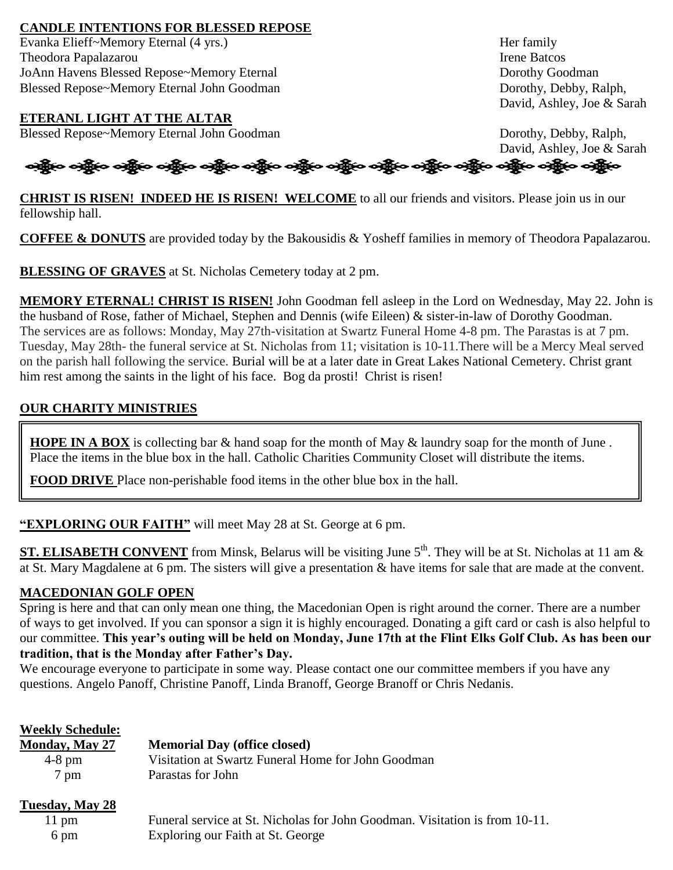# **CANDLE INTENTIONS FOR BLESSED REPOSE**

Evanka Elieff~Memory Eternal (4 yrs.) Her family **Theodora Papalazarou Irene Batcos** Irene Batcos JoAnn Havens Blessed Repose~Memory Eternal Dorothy Goodman Blessed Repose~Memory Eternal John Goodman Dorothy, Debby, Ralph, Dorothy, Debby, Ralph,

# **ETERANL LIGHT AT THE ALTAR**

Blessed Repose~Memory Eternal John Goodman Dorothy, Debby, Ralph,

David, Ashley, Joe & Sarah

David, Ashley, Joe & Sarah

# નફ્રીંબ બફ્રીંબ બફ્રીંબ બફ્રીંબ બફ્રીંબ બફ્રીંબ બફ્રીંબ બફ્રીંબ બફ્રીંબ બફ્રીંબ બફ્રીંબ બફ્રીંબ બફ્રીંબ

**CHRIST IS RISEN! INDEED HE IS RISEN! WELCOME** to all our friends and visitors. Please join us in our fellowship hall.

**COFFEE & DONUTS** are provided today by the Bakousidis & Yosheff families in memory of Theodora Papalazarou.

**BLESSING OF GRAVES** at St. Nicholas Cemetery today at 2 pm.

**MEMORY ETERNAL! CHRIST IS RISEN!** John Goodman fell asleep in the Lord on Wednesday, May 22. John is the husband of Rose, father of Michael, Stephen and Dennis (wife Eileen) & sister-in-law of Dorothy Goodman. The services are as follows: Monday, May 27th-visitation at Swartz Funeral Home 4-8 pm. The Parastas is at 7 pm. Tuesday, May 28th- the funeral service at St. Nicholas from 11; visitation is 10-11.There will be a Mercy Meal served on the parish hall following the service. Burial will be at a later date in Great Lakes National Cemetery. Christ grant him rest among the saints in the light of his face. Bog da prosti! Christ is risen!

# **OUR CHARITY MINISTRIES**

**HOPE IN A BOX** is collecting bar & hand soap for the month of May & laundry soap for the month of June. Place the items in the blue box in the hall. Catholic Charities Community Closet will distribute the items.

**FOOD DRIVE** Place non-perishable food items in the other blue box in the hall.

**"EXPLORING OUR FAITH"** will meet May 28 at St. George at 6 pm.

**ST. ELISABETH CONVENT** from Minsk, Belarus will be visiting June  $5<sup>th</sup>$ . They will be at St. Nicholas at 11 am  $\&$ at St. Mary Magdalene at 6 pm. The sisters will give a presentation & have items for sale that are made at the convent.

# **MACEDONIAN GOLF OPEN**

Spring is here and that can only mean one thing, the Macedonian Open is right around the corner. There are a number of ways to get involved. If you can sponsor a sign it is highly encouraged. Donating a gift card or cash is also helpful to our committee. **This year's outing will be held on Monday, June 17th at the Flint Elks Golf Club. As has been our tradition, that is the Monday after Father's Day.** 

We encourage everyone to participate in some way. Please contact one our committee members if you have any questions. Angelo Panoff, Christine Panoff, Linda Branoff, George Branoff or Chris Nedanis.

| <b>Weekly Schedule:</b><br>Monday, May 27 | <b>Memorial Day (office closed)</b>                                         |
|-------------------------------------------|-----------------------------------------------------------------------------|
| $4-8$ pm                                  | Visitation at Swartz Funeral Home for John Goodman                          |
| 7 pm                                      | Parastas for John                                                           |
| Tuesday, May 28                           |                                                                             |
| $11 \text{ pm}$                           | Funeral service at St. Nicholas for John Goodman. Visitation is from 10-11. |
| 6 pm                                      | Exploring our Faith at St. George                                           |